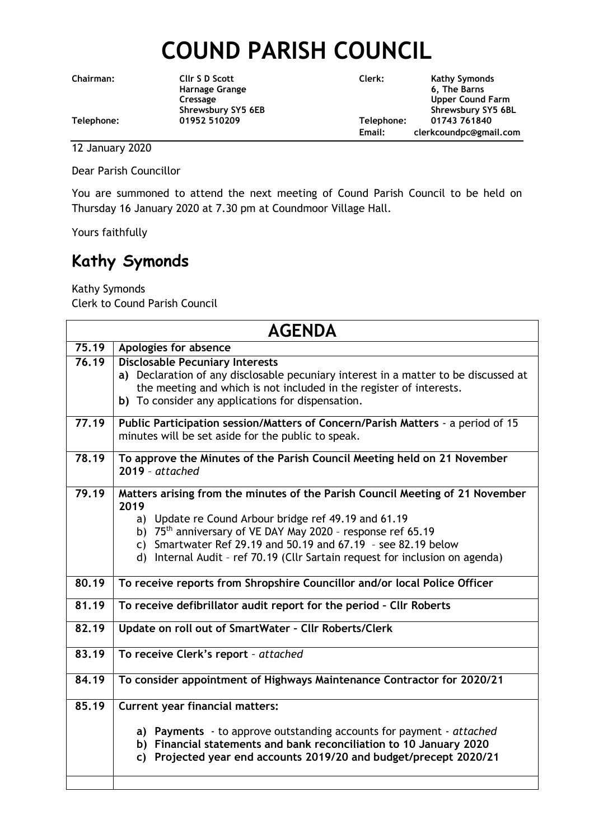## **COUND PARISH COUNCIL**

**Chairman: Cllr S D Scott Clerk: Kathy Symonds Harnage Grange 6, The Barns Cressage Cressage Cressage Cressage Cressage Cressage Cressage Cressage Cressage Cressage Cressage Cressage Cressage Cressage Cressage Cressage Cressage Cressage Cressage Cressage Cressage Cressage Cressage Cressage Cress** Shrewsbury SY5 6EB Shrewsbury SY5 6BL **Telephone: 01952 510209 Telephone: 01743 761840 Email: clerkcoundpc@gmail.com**

12 January 2020

Dear Parish Councillor

You are summoned to attend the next meeting of Cound Parish Council to be held on Thursday 16 January 2020 at 7.30 pm at Coundmoor Village Hall.

Yours faithfully

## **Kathy Symonds**

Kathy Symonds Clerk to Cound Parish Council

| <b>AGENDA</b>      |                                                                                     |
|--------------------|-------------------------------------------------------------------------------------|
| 75.19              | Apologies for absence                                                               |
| $\overline{76.19}$ | <b>Disclosable Pecuniary Interests</b>                                              |
|                    | a) Declaration of any disclosable pecuniary interest in a matter to be discussed at |
|                    | the meeting and which is not included in the register of interests.                 |
|                    | b) To consider any applications for dispensation.                                   |
| 77.19              | Public Participation session/Matters of Concern/Parish Matters - a period of 15     |
|                    | minutes will be set aside for the public to speak.                                  |
| 78.19              | To approve the Minutes of the Parish Council Meeting held on 21 November            |
|                    | $2019 - attached$                                                                   |
| 79.19              | Matters arising from the minutes of the Parish Council Meeting of 21 November       |
|                    | 2019                                                                                |
|                    | a) Update re Cound Arbour bridge ref 49.19 and 61.19                                |
|                    | b) $75th$ anniversary of VE DAY May 2020 - response ref 65.19                       |
|                    | Smartwater Ref 29.19 and 50.19 and 67.19 - see 82.19 below<br>C)                    |
|                    | d) Internal Audit - ref 70.19 (Cllr Sartain request for inclusion on agenda)        |
| 80.19              | To receive reports from Shropshire Councillor and/or local Police Officer           |
| 81.19              | To receive defibrillator audit report for the period - Cllr Roberts                 |
| 82.19              | Update on roll out of SmartWater - Cllr Roberts/Clerk                               |
| 83.19              | To receive Clerk's report - attached                                                |
| 84.19              | To consider appointment of Highways Maintenance Contractor for 2020/21              |
| 85.19              | <b>Current year financial matters:</b>                                              |
|                    | a) Payments - to approve outstanding accounts for payment - attached                |
|                    | b) Financial statements and bank reconciliation to 10 January 2020                  |
|                    | Projected year end accounts 2019/20 and budget/precept 2020/21<br>C)                |
|                    |                                                                                     |